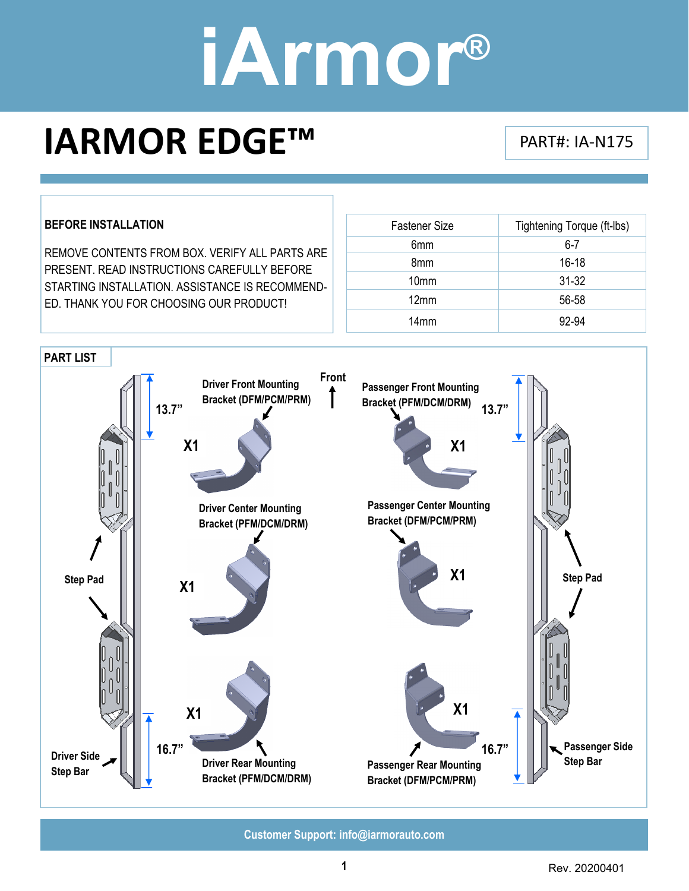### **IARMOR EDGE™** PART#: IA‐N175

#### **BEFORE INSTALLATION**

REMOVE CONTENTS FROM BOX. VERIFY ALL PARTS ARE PRESENT. READ INSTRUCTIONS CAREFULLY BEFORE STARTING INSTALLATION. ASSISTANCE IS RECOMMEND-ED. THANK YOU FOR CHOOSING OUR PRODUCT!

| <b>Fastener Size</b> | Tightening Torque (ft-Ibs) |
|----------------------|----------------------------|
| 6mm                  | $6 - 7$                    |
| 8 <sub>mm</sub>      | $16 - 18$                  |
| 10 <sub>mm</sub>     | $31 - 32$                  |
| 12mm                 | 56-58                      |
| 14 <sub>mm</sub>     | 92-94                      |

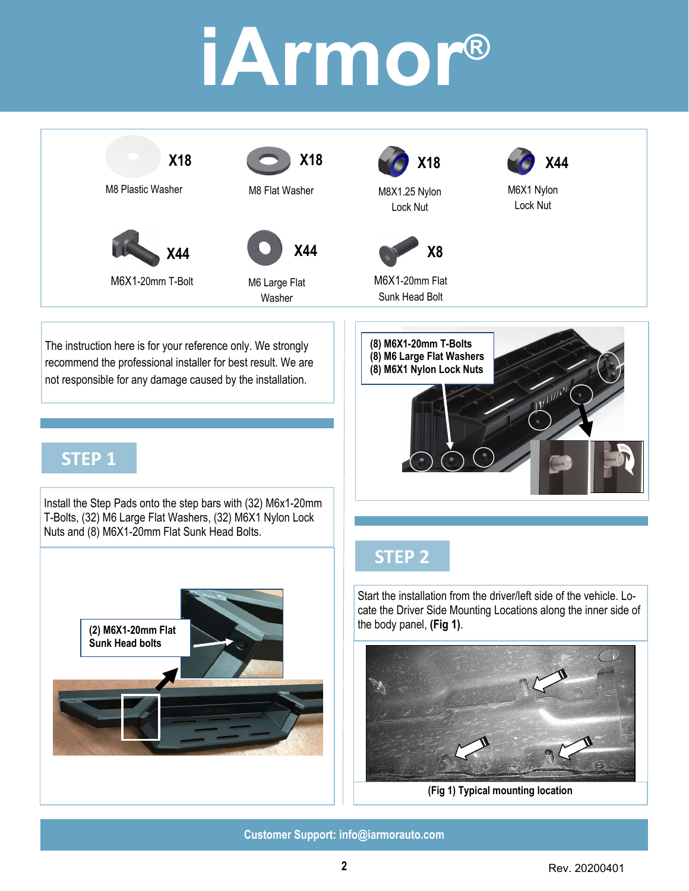





M6 Large Flat Washer



M8X1.25 Nylon Lock Nut



M6X1 Nylon Lock Nut



M6X1-20mm Flat Sunk Head Bolt



#### The instruction here is for your reference only. We strongly recommend the professional installer for best result. We are not responsible for any damage caused by the installation.

### **STEP 1**

Install the Step Pads onto the step bars with (32) M6x1-20mm T-Bolts, (32) M6 Large Flat Washers, (32) M6X1 Nylon Lock Nuts and (8) M6X1-20mm Flat Sunk Head Bolts.



### **STEP 2**

Start the installation from the driver/left side of the vehicle. Locate the Driver Side Mounting Locations along the inner side of the body panel, **(Fig 1)**.



**(Fig 1) Typical mounting location**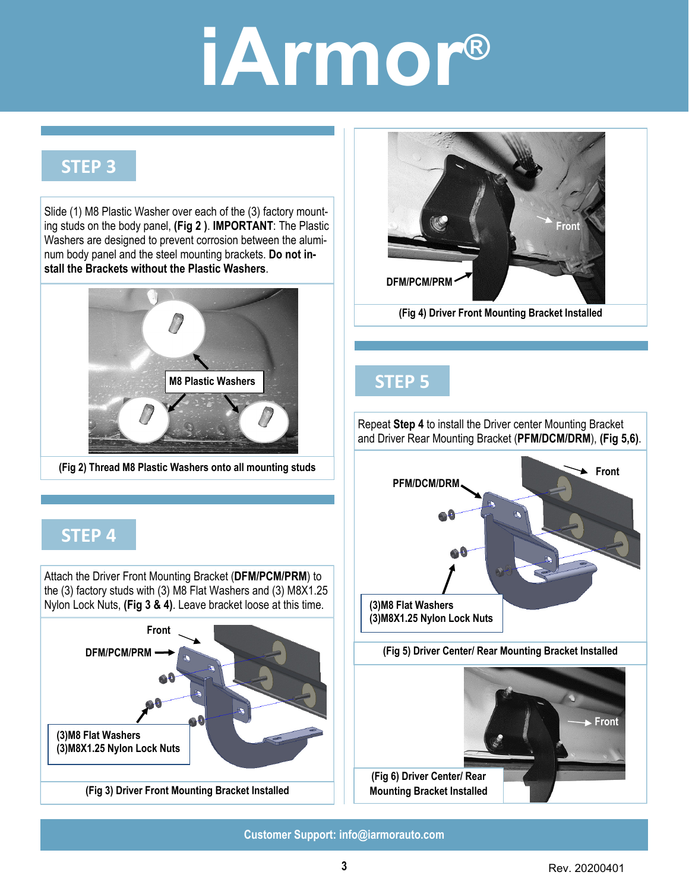### **STEP 3**

Slide (1) M8 Plastic Washer over each of the (3) factory mounting studs on the body panel, **(Fig 2 )**. **IMPORTANT**: The Plastic Washers are designed to prevent corrosion between the aluminum body panel and the steel mounting brackets. **Do not install the Brackets without the Plastic Washers**.



**(Fig 2) Thread M8 Plastic Washers onto all mounting studs** 

### **STEP 4**

Attach the Driver Front Mounting Bracket (**DFM/PCM/PRM**) to the (3) factory studs with (3) M8 Flat Washers and (3) M8X1.25 Nylon Lock Nuts, **(Fig 3 & 4)**. Leave bracket loose at this time.





#### **STEP 5**

**(Fig 5) Driver Center/ Rear Mounting Bracket Installed**  Repeat **Step 4** to install the Driver center Mounting Bracket and Driver Rear Mounting Bracket (**PFM/DCM/DRM**), **(Fig 5,6)**. **Front PFM/DCM/DRM (3)M8 Flat Washers (3)M8X1.25 Nylon Lock Nuts Front (Fig 6) Driver Center/ Rear Mounting Bracket Installed**